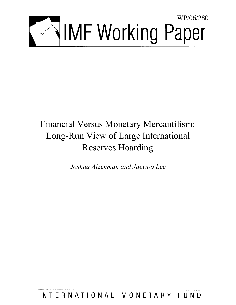

# Financial Versus Monetary Mercantilism: Long-Run View of Large International Reserves Hoarding

*Joshua Aizenman and Jaewoo Lee* 

### INTERNATIONAL MONETARY FUND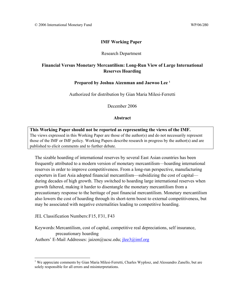#### **IMF Working Paper**

#### Research Department

#### **Financial Versus Monetary Mercantilism: Long-Run View of Large International Reserves Hoarding**

#### **Prepared by Joshua Aizenman and Jaewoo Lee 1**

Authorized for distribution by Gian Maria Milesi-Ferretti

December 2006

#### **Abstract**

**This Working Paper should not be reported as representing the views of the IMF.** The views expressed in this Working Paper are those of the author(s) and do not necessarily represent those of the IMF or IMF policy. Working Papers describe research in progress by the author(s) and are published to elicit comments and to further debate.

The sizable hoarding of international reserves by several East Asian countries has been frequently attributed to a modern version of monetary mercantilism—hoarding international reserves in order to improve competitiveness. From a long-run perspective, manufacturing exporters in East Asia adopted financial mercantilism—subsidizing the cost of capital during decades of high growth. They switched to hoarding large international reserves when growth faltered, making it harder to disentangle the monetary mercantilism from a precautionary response to the heritage of past financial mercantilism. Monetary mercantilism also lowers the cost of hoarding through its short-term boost to external competitiveness, but may be associated with negative externalities leading to competitive hoarding.

JEL Classification Numbers: F15, F31, F43

 $\overline{a}$ 

Keywords: Mercantilism, cost of capital, competitive real depreciations, self insurance, precautionary hoarding

Authors' E-Mail Addresses: jaizen@ucsc.edu; jlee3@imf.org

<sup>&</sup>lt;sup>1</sup> We appreciate comments by Gian Maria Milesi-Ferretti, Charles Wyplosz, and Alessandro Zanello, but are solely responsible for all errors and misinterpretations.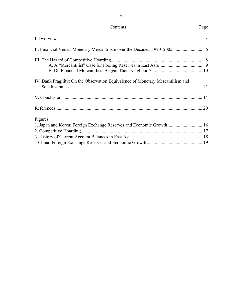| IV. Bank Fragility: On the Observation Equivalence of Monetary Mercantilism and |  |
|---------------------------------------------------------------------------------|--|
|                                                                                 |  |
|                                                                                 |  |
| Figures                                                                         |  |
| 1. Japan and Korea: Foreign Exchange Reserves and Economic Growth16             |  |
|                                                                                 |  |
|                                                                                 |  |
|                                                                                 |  |

## 2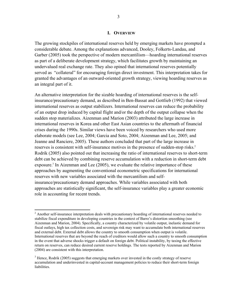#### **I. OVERVIEW**

The growing stockpiles of international reserves held by emerging markets have prompted a considerable debate. Among the explanations advanced, Dooley, Folkerts-Landau, and Garber (2005) took the perspective of modern mercantilism—hoarding international reserves as part of a deliberate development strategy, which facilitates growth by maintaining an undervalued real exchange rate. They also opined that international reserves potentially served as "collateral" for encouraging foreign direct investment. This interpretation takes for granted the advantages of an outward-oriented growth strategy, viewing hoarding reserves as an integral part of it.

An alternative interpretation for the sizable hoarding of international reserves is the selfinsurance/precautionary demand, as described in Ben-Bassat and Gottlieb (1992) that viewed international reserves as output stabilizers. International reserves can reduce the probability of an output drop induced by capital flight and/or the depth of the output collapse when the sudden stop materializes. Aizenman and Marion (2003) attributed the large increase in international reserves in Korea and other East Asian countries to the aftermath of financial crises during the 1990s. Similar views have been voiced by researchers who used more elaborate models (see Lee, 2004; Garcia and Soto, 2004; Aizenman and Lee, 2005; and Jeanne and Ranciere, 2005). These authors concluded that part of the large increase in reserves is consistent with self-insurance motives in the presence of sudden-stop risks.<sup>2</sup> Rodrik (2005) also pointed out that increasing the ratio of international reserves to short-term debt can be achieved by combining reserve accumulation with a reduction in short-term debt exposure.<sup>3</sup> In Aizenman and Lee (2005), we evaluate the relative importance of these approaches by augmenting the conventional econometric specifications for international reserves with new variables associated with the mercantilism and selfinsurance/precautionary demand approaches. While variables associated with both approaches are statistically significant, the self-insurance variables play a greater economic role in accounting for recent trends.

 $\overline{a}$ 

<sup>&</sup>lt;sup>2</sup> Another self-insurance interpretation deals with precautionary hoarding of international reserves needed to stabilize fiscal expenditure in developing countries in the context of Barro's distortion smoothing (see Aizenman and Marion, 2004). Specifically, a country characterized by volatile output, inelastic demand for fiscal outlays, high tax collection costs, and sovereign risk may want to accumulate both international reserves and external debt. External debt allows the country to smooth consumption when output is volatile. International reserves that are beyond the reach of creditors would allow such a country to smooth consumption in the event that adverse shocks trigger a default on foreign debt. Political instability, by taxing the effective return on reserves, can reduce desired current reserve holdings. The tests reported by Aizenman and Marion (2004) are consistent with this interpretation.

 $3$  Hence, Rodrik (2005) suggests that emerging markets over invested in the costly strategy of reserve accumulation and underinvested in capital-account management policies to reduce their short-term foreign liabilities.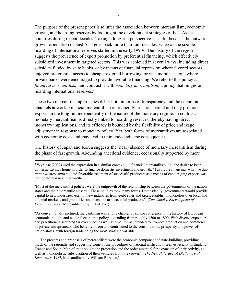The purpose of the present paper is to infer the association between mercantilism, economic growth, and hoarding reserves by looking at the development strategies of East Asian countries during recent decades. Taking a long-run perspective is useful because the outward growth orientation of East Asia goes back more than four decades, whereas the sizable hoarding of international reserves started in the early 1990s. The history of the region suggests the prevalence of export promotion by preferential financing, which effectively subsidized investment in targeted sectors. This was achieved in several ways, including direct subsidies funded by state banks, or by means of financial repression where favored sectors enjoyed preferential access to cheaper external borrowing, or via "moral suasion" where private banks were encouraged to provide favorable financing. We refer to this policy as *financial mercantilism*, and contrast it with *monetary mercantilism*, a policy that hinges on hoarding international reserves.<sup>4</sup>

These two mercantilist approaches differ both in terms of transparency and the economic channels at work. Financial mercantilism is frequently less transparent and may promote exports in the long run independently of the nature of the monetary regime. In contrast, monetary mercantilism is directly linked to hoarding reserves, thereby having direct monetary implications, and its efficacy is bounded by the flexibility of price and wage adjustment in response to monetary policy. Yet, both forms of mercantilism are associated with economic costs and may lead to unintended adverse consequences.

The history of Japan and Korea suggests the (near) absence of monetary mercantilism during the phase of fast growth. Abounding anecdotal evidence, occasionally supported by more

 4 Wyplosz (2002) used the expression in a similar context: "…financial mercantilism, i.e., the desire to keep domestic savings home in order to finance domestic investment and growth." Favorable financing [what we dub *financial mercantilism*] and favorable treatment of successful producers as a means of encouraging exports was part of the classical mercantilism:

<sup>&</sup>quot;Most of the mercantilist policies were the outgrowth of the relationship between the governments of the nationstates and their mercantile classes…These policies took many forms. Domestically, governments would provide capital to new industries, exempt new industries from guild rules and taxes, establish monopolies over local and colonial markets, and grant titles and pensions to successful producers." (*The Concise Encyclopedia of Economics*, 2006, Mercantilism, by L. LaHaye.)

<sup>&</sup>quot;As conventionally pictured, mercantilism was a long chapter of simple coherence in the history of European economic thought and national economic policy, extending from roughly 1500 to 1800. With diverse expositors and practitioners scattered far over space as well as time, it was intended to promote production and commerce of private entrepreneurs who benefited from and contributed to the consolidation, prosperity and power of nation-states, with foreign trade being the most strategic variable.

<sup>......</sup>The precepts and proposals of mercantilism were the economic component of state-building, providing much of the rationale and suggesting some of the procedures of national unification, seen especially in England, France and Spain. Men of trade sought the protection and the order essential for expansion of their activity, as well as monopolistic subsidization of their ventures from the crown." (*The New Palgrave: A Dictionary of Economics*, 1987, Mercantilism, by William R. Allen.)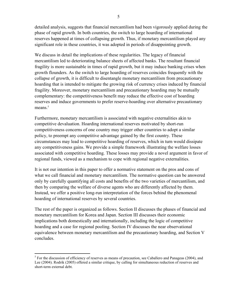detailed analysis, suggests that financial mercantilism had been vigorously applied during the phase of rapid growth. In both countries, the switch to large hoarding of international reserves happened at times of collapsing growth. Thus, if monetary mercantilism played any significant role in these countries, it was adopted in periods of disappointing growth.

We discuss in detail the implications of these regularities. The legacy of financial mercantilism led to deteriorating balance sheets of affected banks. The resultant financial fragility is more sustainable in times of rapid growth, but it may induce banking crises when growth flounders. As the switch to large hoarding of reserves coincides frequently with the collapse of growth, it is difficult to disentangle monetary mercantilism from precautionary hoarding that is intended to mitigate the growing risk of currency crises induced by financial fragility. Moreover, monetary mercantilism and precautionary hoarding may be mutually complementary: the competitiveness benefit may reduce the effective cost of hoarding reserves and induce governments to prefer reserve-hoarding over alternative precautionary means.<sup>5</sup>

Furthermore, monetary mercantilism is associated with negative externalities akin to competitive devaluation. Hoarding international reserves motivated by short-run competitiveness concerns of one country may trigger other countries to adopt a similar policy, to preempt any competitive advantage gained by the first country. These circumstances may lead to competitive hoarding of reserves, which in turn would dissipate any competitiveness gains. We provide a simple framework illustrating the welfare losses associated with competitive hoarding. These losses may provide a novel argument in favor of regional funds, viewed as a mechanism to cope with regional negative externalities.

It is not our intention in this paper to offer a normative statement on the pros and cons of what we call financial and monetary mercantilism. The normative question can be answered only by carefully quantifying all costs and benefits of the two varieties of mercantilism, and then by comparing the welfare of diverse agents who are differently affected by them. Instead, we offer a positive long-run interpretation of the forces behind the phenomenal hoarding of international reserves by several countries.

The rest of the paper is organized as follows. Section II discusses the phases of financial and monetary mercantilism for Korea and Japan. Section III discusses their economic implications both domestically and internationally, including the logic of competitive hoarding and a case for regional pooling. Section IV discusses the near observational equivalence between monetary mercantilism and the precautionary hoarding, and Section V concludes.

 $\overline{a}$ 

<sup>&</sup>lt;sup>5</sup> For the discussion of efficiency of reserves as means of precaution, see Caballero and Panageas (2004), and Lee (2004). Rodrik (2005) offered a similar critique, by calling for simultaneous reduction of reserves and short-term external debt.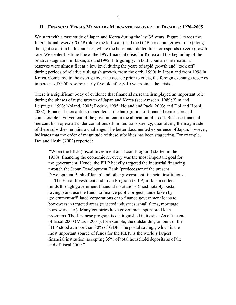#### **II. FINANCIAL VERSUS MONETARY MERCANTILISM OVER THE DECADES: 1970–2005**

We start with a case study of Japan and Korea during the last 35 years. Figure 1 traces the International reserves/GDP (along the left scale) and the GDP per capita growth rate (along the right scale) in both countries, where the horizontal dotted line corresponds to zero growth rate. We center the time line at the 1997 financial crisis for Korea and the beginning of the relative stagnation in Japan, around1992. Intriguingly, in both countries international reserves were almost flat at a low level during the years of rapid growth and "took off" during periods of relatively sluggish growth, from the early 1990s in Japan and from 1998 in Korea. Compared to the average over the decade prior to crisis, the foreign exchange reserves in percent of GDP rose by nearly fivefold after 8-10 years since the crisis.

There is a significant body of evidence that financial mercantilism played an important role during the phases of rapid growth of Japan and Korea (see Amsden, 1989; Kim and Leipziger, 1993; Noland, 2005; Rodrik, 1995; Noland and Pack, 2003; and Doi and Hoshi, 2002). Financial mercantilism operated at the background of financial repression and considerable involvement of the government in the allocation of credit. Because financial mercantilism operated under conditions of limited transparency, quantifying the magnitude of these subsidies remains a challenge. The better documented experience of Japan, however, indicates that the order of magnitude of these subsidies has been staggering. For example, Doi and Hoshi (2002) reported:

"When the FILP (Fiscal Investment and Loan Program) started in the 1950s, financing the economic recovery was the most important goal for the government. Hence, the FILP heavily targeted the industrial financing through the Japan Development Bank (predecessor of the present Development Bank of Japan) and other government financial institutions. … The Fiscal Investment and Loan Program (FILP) in Japan collects funds through government financial institutions (most notably postal savings) and use the funds to finance public projects undertaken by government-affiliated corporations or to finance government loans to borrowers in targeted areas (targeted industries, small firms, mortgage borrowers, etc.). Many countries have government sponsored loan programs. The Japanese program is distinguished in its size. As of the end of fiscal 2000 (March 2001), for example, the outstanding amount of the FILP stood at more than 80% of GDP. The postal savings, which is the most important source of funds for the FILP, is the world's largest financial institution, accepting 35% of total household deposits as of the end of fiscal 2000."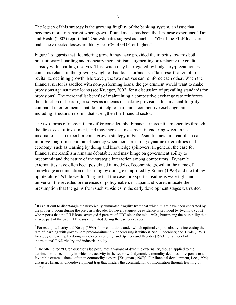The legacy of this strategy is the growing fragility of the banking system, an issue that becomes more transparent when growth flounders, as has been the Japanese experience.<sup>6</sup> Doi and Hoshi (2002) report that "Our estimates suggest as much as 75% of the FILP loans are bad. The expected losses are likely be 16% of GDP, or higher."

Figure 1 suggests that floundering growth may have provided the impetus towards both precautionary hoarding and monetary mercantilism, augmenting or replacing the credit subsidy with hoarding reserves. This switch may be triggered by budgetary/precautionary concerns related to the growing weight of bad loans, or/and as a "last resort" attempt to revitalize declining growth. Moreover, the two motives can reinforce each other. When the financial sector is saddled with non-performing loans, the government would want to make provisions against these loans (see Krueger, 2002, for a discussion of prevailing standards for provisions). The mercantilist benefit of maintaining a competitive exchange rate reinforces the attraction of hoarding reserves as a means of making provisions for financial fragility, compared to other means that do not help to maintain a competitive exchange rate including structural reforms that strengthen the financial sector.

The two forms of mercantilism differ considerably. Financial mercantilism operates through the direct cost of investment, and may increase investment in enduring ways. In its incarnation as an export-oriented growth strategy in East Asia, financial mercantilism can improve long-run economic efficiency when there are strong dynamic externalities in the economy, such as learning by doing and knowledge spillovers. In general, the case for financial mercantilism remains debatable, and may hinge on government ability to precommit and the nature of the strategic interaction among competitors.<sup>7</sup> Dynamic externalities have often been postulated in models of economic growth in the name of knowledge accumulation or learning by doing, exemplified by Romer (1990) and the followup literature.<sup>8</sup> While we don't argue that the case for export subsidies is watertight and universal, the revealed preferences of policymakers in Japan and Korea indicate their presumption that the gains from such subsidies in the early development stages warranted

 $\overline{a}$ 

 $<sup>6</sup>$  It is difficult to disentangle the historically cumulated fragility from that which might have been generated by</sup> the property boom during the pre-crisis decade. However, suggestive evidence is provided by Iwamoto (2002) who reports that the FILP loans averaged 5 percent of GDP since the mid-1950s, buttressing the possibility that a large part of the bad FILP loans originated during the earlier decades.

<sup>&</sup>lt;sup>7</sup> For example, Leahy and Neary (1999) show conditions under which optimal export subsidy is increasing the rate of learning with government precommitment but decreasing it without. See Fundenberg and Tirole (1983) for study of learning by doing in a closed economy, and Spencer and Brender (1983) for a model of international R&D rivalry and industrial policy.

 $8$  The often cited "Dutch disease" also postulates a variant of dynamic externality, though applied to the detriment of an economy in which the activity in the sector with dynamic externality declines in response to a favorable external shock, often in commodity exports [Krugman (1987)]. For financial development, Lee (1996) discusses financial underdevelopment trap that hinders the accumulation of information through learning by doing.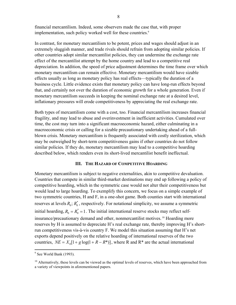financial mercantilism. Indeed, some observers made the case that, with proper implementation, such policy worked well for these countries.<sup>9</sup>

In contrast, for monetary mercantilism to be potent, prices and wages should adjust in an extremely sluggish manner, and trade rivals should refrain from adopting similar policies. If other countries adopt similar mercantilist policies, they can undermine the exchange rate effect of the mercantilist attempt by the home country and lead to a competitive real depreciation. In addition, the speed of price adjustment determines the time frame over which monetary mercantilism can remain effective. Monetary mercantilism would have sizable effects usually as long as monetary policy has real effects—typically the duration of a business cycle. Little evidence exists that monetary policy can have long-run effects beyond that, and certainly not over the duration of economic growth for a whole generation. Even if monetary mercantilism succeeds in keeping the nominal exchange rate at a desired level, inflationary pressures will erode competitiveness by appreciating the real exchange rate.

Both types of mercantilism come with a cost, too. Financial mercantilism increases financial fragility, and may lead to abuse and overinvestment in inefficient activities. Cumulated over time, the cost may turn into a significant macroeconomic hazard, either culminating in a macroeconomic crisis or calling for a sizable precautionary undertaking ahead of a fullblown crisis. Monetary mercantilism is frequently associated with costly sterilization, which may be outweighed by short-term competitiveness gains if other countries do not follow similar policies. If they do, monetary mercantilism may lead to a competitive hoarding described below, which renders even its short-lived mercantilist benefit ineffectual.

#### **III. THE HAZARD OF COMPETITIVE HOARDING**

Monetary mercantilism is subject to negative externalities, akin to competitive devaluation. Countries that compete in similar third-market destinations may end up following a policy of competitive hoarding, which in the symmetric case would not alter their competitiveness but would lead to large hoarding. To exemplify this concern, we focus on a simple example of two symmetric countries, H and F, in a one-shot game. Both counties start with international reserves at levels  $R_0$ ;  $R_0^*$ , respectively. For notational simplicity, we assume a symmetric initial hoarding,  $R_0 = R_0^* = 1$ . The initial international reserve stocks may reflect selfinsurance/precautionary demand and other, nonmercantilist motives.<sup>10</sup> Hoarding more reserves by H is assumed to depreciate H's real exchange rate, thereby improving H's shortrun competitiveness vis-à-vis country F. We model this situation assuming that H's net exports depend positively on the relative hoarding of international reserves of the two countries,  $NE = X_0[1 + g \log(1 + R - R^*)]$ , where R and R<sup>\*</sup> are the actual international

<sup>&</sup>lt;sup>9</sup> See World Bank (1993).

<sup>&</sup>lt;sup>10</sup> Alternatively, these levels can be viewed as the optimal levels of reserves, which have been approached from a variety of viewpoints in aforementioned papers.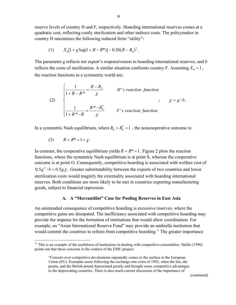reserve levels of country H and F, respectively. Hoarding international reserves comes at a quadratic cost, reflecting costly sterilization and other indirect costs. The policymaker in country H maximizes the following reduced form "utility":

(1) 
$$
X_0[1+g \log(1+R-R^*)]-0.5b(R-R_0)^2
$$
.

The parameter *g* reflects net export's responsiveness to hoarding international reserves, and *b*  reflects the costs of sterilization. A similar situation confronts country F. Assuming  $X_0 = 1$ , the reaction functions in a symmetric world are:

(2)  
\n
$$
\begin{cases}\n\frac{1}{1+R-R^*} = \frac{R-R_0}{\chi} & H's reaction function\n\frac{1}{1+R^*-R} = \frac{R^*-R_0^*}{\chi} & F's reaction function\n\end{cases}
$$
\n
$$
; \quad \chi = g/b.
$$

In a symmetric Nash equilibrium, where  $R_0 = R_0^* = 1$ , the noncooperative outcome is:

$$
(3) \qquad R = R^* = 1 + \chi.
$$

1

In contrast, the cooperative equilibrium yields  $R = R^* = 1$ . Figure 2 plots the reaction functions, where the symmetric Nash equilibrium is at point S, whereas the cooperative outcome is at point O. Consequently, competitive hoarding is associated with welfare cost of  $0.5 g<sup>2</sup>/b = 0.5 g\chi$ . Greater substitutability between the exports of two countries and lower sterilization costs would magnify the externality associated with hoarding international reserves. Both conditions are more likely to be met in countries exporting manufacturing goods, subject to financial repression.

#### **A. A "Mercantilist" Case for Pooling Reserves in East Asia**

An unintended consequence of competitive hoarding is excessive reserves, where the competitive gains are dissipated. The inefficiency associated with competitive hoarding may provide the impetus for the formation of institutions that would allow coordination. For example, an "Asian International Reserve Fund" may provide an umbrella institution that would commit the countries to refrain from competitive hoarding.<sup>11</sup> The greater importance

 $11$  This is an example of the usefulness of institutions in dealing with competitive externalities. Melitz (1996) points out that these concerns in the context of the EMU project:

<sup>&</sup>quot;Concern over competitive devaluations repeatedly comes to the surface in the European Union (EU). Examples arose following the exchange rate crisis of 1992, when the lira, the peseta, and the British pound depreciated greatly and brought some competitive advantages to the depreciating countries. There is also much current discussion of the importance of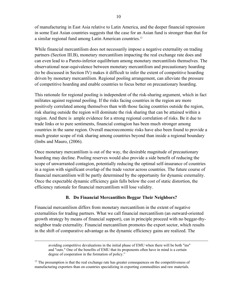of manufacturing in East Asia relative to Latin America, and the deeper financial repression in some East Asian countries suggests that the case for an Asian fund is stronger than that for a similar regional fund among Latin American countries.<sup>12</sup>

While financial mercantilism does not necessarily impose a negative externality on trading partners (Section III.B), monetary mercantilism impacting the real exchange rate does and can even lead to a Pareto-inferior equilibrium among monetary mercantilists themselves. The observational near-equivalence between monetary mercantilism and precautionary hoarding (to be discussed in Section IV) makes it difficult to infer the extent of competitive hoarding driven by monetary mercantilism. Regional pooling arrangement, can alleviate the pressure of competitive hoarding and enable countries to focus better on precautionary hoarding.

This rationale for regional pooling is independent of the risk-sharing argument, which in fact militates against regional pooling. If the risks facing countries in the region are more positively correlated among themselves than with those facing countries outside the region, risk sharing outside the region will dominate the risk sharing that can be attained within a region. And there is ample evidence for a strong regional correlation of risks. Be it due to trade links or to pure sentiments, financial contagion has been much stronger among countries in the same region. Overall macroeconomic risks have also been found to provide a much greater scope of risk sharing among countries beyond than inside a regional boundary (Imbs and Mauro, (2006).

Once monetary mercantilism is out of the way, the desirable magnitude of precautionary hoarding may decline. Pooling reserves would also provide a side benefit of reducing the scope of unwarranted contagion, potentially reducing the optimal self-insurance of countries in a region with significant overlap of the trade vector across countries. The future course of financial mercantilism will be partly determined by the opportunity for dynamic externality. Once the expectable dynamic efficiency gain falls below the cost of static distortion, the efficiency rationale for financial mercantilism will lose validity.

#### **B. Do Financial Mercantilists Beggar Their Neighbors?**

Financial mercantilism differs from monetary mercantilism in the extent of negative externalities for trading partners. What we call financial mercantilism (an outward-oriented growth strategy by means of financial support), can in principle proceed with no beggar-thyneighbor trade externality. Financial mercantilism promotes the export sector, which results in the shift of comparative advantage as the dynamic efficiency gains are realized. The

avoiding competitive devaluations in the initial phase of EMU when there will be both "ins" and "outs." One of the benefits of EMU that its proponents often have in mind is a certain degree of cooperation in the formation of policy."

 $12$  The presumption is that the real exchange rate has greater consequences on the competitiveness of manufacturing exporters than on countries specializing in exporting commodities and raw materials.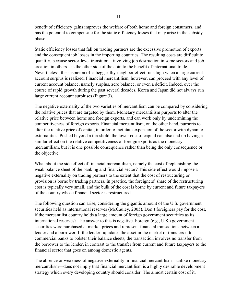benefit of efficiency gains improves the welfare of both home and foreign consumers, and has the potential to compensate for the static efficiency losses that may arise in the subsidy phase.

Static efficiency losses that fall on trading partners are the excessive promotion of exports and the consequent job losses in the importing countries. The resulting costs are difficult to quantify, because sector-level transition—involving job destruction in some sectors and job creation in others—is the other side of the coin to the benefit of international trade. Nevertheless, the suspicion of a beggar-thy-neighbor effect runs high when a large current account surplus is realized. Financial mercantilism, however, can proceed with any level of current account balance, namely surplus, zero balance, or even a deficit. Indeed, over the course of rapid growth during the past several decades, Korea and Japan did not always run large current account surpluses (Figure 3).

The negative externality of the two varieties of mercantilism can be compared by considering the relative prices that are targeted by them. Monetary mercantilism purports to alter the relative price between home and foreign exports, and can work only by undermining the competitiveness of foreign exports. Financial mercantilism, on the other hand, purports to alter the relative price of capital, in order to facilitate expansion of the sector with dynamic externalities. Pushed beyond a threshold, the lower cost of capital can also end up having a similar effect on the relative competitiveness of foreign exports as the monetary mercantilism, but it is one possible consequence rather than being the only consequence or the objective.

What about the side effect of financial mercantilism, namely the cost of replenishing the weak balance sheet of the banking and financial sector? This side effect would impose a negative externality on trading partners to the extent that the cost of restructuring or provision is borne by trading partners. In practice, the foreigners' share of the restructuring cost is typically very small, and the bulk of the cost is borne by current and future taxpayers of the country whose financial sector is restructured.

The following question can arise, considering the gigantic amount of the U.S. government securities held as international reserves (McCauley, 2005). Don't foreigners pay for the cost, if the mercantilist country holds a large amount of foreign government securities as its international reserves? The answer to this is negative. Foreign (e.g., U.S.) government securities were purchased at market prices and represent financial transactions between a lender and a borrower. If the lender liquidates the asset in the market or transfers it to commercial banks to bolster their balance sheets, the transaction involves no transfer from the borrower to the lender, in contrast to the transfer from current and future taxpayers to the financial sector that goes on among domestic agents.

The absence or weakness of negative externality in financial mercantilism—unlike monetary mercantilism—does not imply that financial mercantilism is a highly desirable development strategy which every developing country should consider. The almost certain cost of it,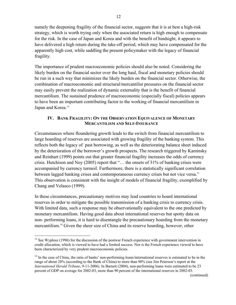namely the deepening fragility of the financial sector, suggests that it is at best a high-risk strategy, which is worth trying only when the associated return is high enough to compensate for the risk. In the case of Japan and Korea and with the benefit of hindsight, it appears to have delivered a high return during the take-off period, which may have compensated for the apparently high cost, while saddling the present policymaker with the legacy of financial fragility.

The importance of prudent macroeconomic policies should also be noted. Considering the likely burden on the financial sector over the long haul, fiscal and monetary policies should be run in a such way that minimizes the likely burden on the financial sector. Otherwise, the combination of macroeconomic and structural/mercantilist pressures on the financial sector may easily prevent the realization of dynamic externality that is the benefit of financial mercantilism. The sustained prudence of macroeconomic (especially fiscal) policies appears to have been an important contributing factor to the working of financial mercantilism in Japan and Korea.<sup>13</sup>

#### **IV. BANK FRAGILITY: ON THE OBSERVATION EQUIVALENCE OF MONETARY MERCANTILISM AND SELF-INSURANCE**

Circumstances where floundering growth leads to the switch from financial mercantilism to large hoarding of reserves are associated with growing fragility of the banking system. This reflects both the legacy of past borrowing, as well as the deteriorating balance sheet induced by the deterioration of the borrower's growth prospects. The research triggered by Kaminsky and Reinhart (1999) points out that greater financial fragility increases the odds of currency crisis. Hutchison and Noy (2005) report that "… the onsets of 31% of banking crises were accompanied by currency turmoil. Furthermore, there is a statistically significant correlation between lagged banking crises and contemporaneous currency crises but not vice versa." This observation is consistent with the insight of models of financial fragility, exemplified by Chang and Velasco (1999).

In these circumstances, precautionary motives may lead countries to hoard international reserves in order to mitigate the possible transmission of a banking crisis to currency crisis. With limited data, such a response may be observationally equivalent to the one predicted by monetary mercantilism. Having good data about international reserves but spotty data on non- performing loans, it is hard to disentangle the precautionary hoarding from the monetary mercantilism.14 Given the sheer size of China and its reserve hoarding, however, other

 $\overline{a}$ <sup>13</sup> See Wyplosz (1996) for the discussion of the postwar French experience with government intervention in credit allocation, which is viewed to have had a limited success. Nor is the French experience viewed to have been characterized by very prudent macroeconomic policies.

<sup>&</sup>lt;sup>14</sup> In the case of China, the ratio of banks' non-performing loans/international reserves is estimated to be in the range of about 20% (according to the Bank of China) to more than 90% (see Jim Peterson's report at the *International Herald Tribune*, 9-11-2006). In Barnett (2004), non-performing loans were estimated to be 23 percent of GDP on average for 2002-03, more than 90 percent of the international reserves in 2002-03.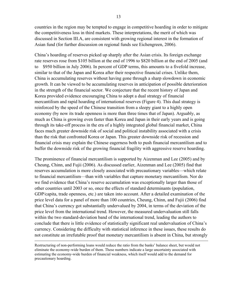countries in the region may be tempted to engage in competitive hoarding in order to mitigate the competitiveness loss in third markets. These interpretations, the merit of which was discussed in Section III.A, are consistent with growing regional interest in the formation of Asian fund (for further discussion on regional funds see Eichengreen, 2006).

China's hoarding of reserves picked up sharply after the Asian crisis. Its foreign exchange rate reserves rose from \$105 billion at the end of 1996 to \$820 billion at the end of 2005 (and to \$950 billion in July 2006). In percent of GDP terms, this amounts to a fivefold increase, similar to that of the Japan and Korea after their respective financial crises. Unlike them, China is accumulating reserves without having gone through a sharp slowdown in economic growth. It can be viewed to be accumulating reserves in anticipation of possible deterioration in the strength of the financial sector. We conjecture that the recent history of Japan and Korea provided evidence encouraging China to adopt a dual strategy of financial mercantilism and rapid hoarding of international reserves (Figure 4). This dual strategy is reinforced by the speed of the Chinese transition from a sleepy giant to a highly open economy (by now its trade openness is more than three times that of Japan). Arguably, as much as China is growing even faster than Korea and Japan in their early years and is going through its take-off process in the era of a highly integrated global financial market, China faces much greater downside risk of social and political instability associated with a crisis than the risk that confronted Korea or Japan. This greater downside risk of recession and financial crisis may explain the Chinese eagerness both to push financial mercantilism and to buffer the downside risk of the growing financial fragility with aggressive reserve hoarding.

The prominence of financial mercantilism is supported by Aizenman and Lee (2005) and by Cheung, Chinn, and Fujii (2006). As discussed earlier, Aizenman and Lee (2005) find that reserves accumulation is more closely associated with precautionary variables—which relate to financial mercantilism—than with variables that capture monetary mercantilism. Nor do we find evidence that China's reserve accumulation was exceptionally larger than those of other countries until 2003 or so, once the effects of standard determinants (population, GDP/capita, trade openness, etc.) are taken into account. After a detailed examination of the price level data for a panel of more than 100 countries, Cheung, Chinn, and Fujii (2006) find that China's currency got substantially undervalued by 2004, in terms of the deviation of the price level from the international trend. However, the measured undervaluation still falls within the two standard-deviation band of the international trend, leading the authors to conclude that there is little evidence of statistically significant real undervaluation of China's currency. Considering the difficulty with statistical inference in these issues, these results do not constitute an irrefutable proof that monetary mercantilism is absent in China, but strongly

 Restructuring of non-performing loans would reduce the ratio from the banks' balance sheet, but would not eliminate the economy-wide burden of them. These numbers indicate a large uncertainty associated with estimating the economy-wide burden of financial weakness, which itself would add to the demand for precautionary hoarding.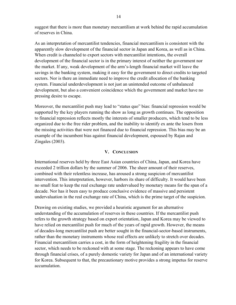suggest that there is more than monetary mercantilism at work behind the rapid accumulation of reserves in China.

As an interpretation of mercantilist tendencies, financial mercantilism is consistent with the apparently slow development of the financial sector in Japan and Korea, as well as in China. When credit is channeled to export sectors with mercantilist intentions, the overall development of the financial sector is in the primary interest of neither the government nor the market. If any, weak development of the arm's-length financial market will leave the savings in the banking system, making it easy for the government to direct credits to targeted sectors. Nor is there an immediate need to improve the credit allocation of the banking system. Financial underdevelopment is not just an unintended outcome of unbalanced development, but also a convenient coincidence which the government and market have no pressing desire to escape.

Moreover, the mercantilist push may lead to "status quo" bias: financial repression would be supported by the key players running the show as long as growth continues. The opposition to financial repression reflects mostly the interests of smaller producers, which tend to be less organized due to the free rider problem, and the inability to identify ex ante the losers from the missing activities that were not financed due to financial repression. This bias may be an example of the incumbent bias against financial development, espoused by Rajan and Zingales (2003).

#### **V. CONCLUSION**

International reserves held by three East Asian countries of China, Japan, and Korea have exceeded 2 trillion dollars by the summer of 2006. The sheer amount of their reserves, combined with their relentless increase, has aroused a strong suspicion of mercantilist intervention. This interpretation, however, harbors its share of difficulty. It would have been no small feat to keep the real exchange rate undervalued by monetary means for the span of a decade. Nor has it been easy to produce conclusive evidence of massive and persistent undervaluation in the real exchange rate of China, which is the prime target of the suspicion.

Drawing on existing studies, we provided a heuristic argument for an alternative understanding of the accumulation of reserves in these countries. If the mercantilist push refers to the growth strategy based on export orientation, Japan and Korea may be viewed to have relied on mercantilist push for much of the years of rapid growth. However, the means of decades-long mercantilist push are better sought in the financial-sector-based instruments, rather than the monetary instruments whose real effects are unlikely to stretch over decades. Financial mercantilism carries a cost, in the form of heightening fragility in the financial sector, which needs to be reckoned with at some stage. The reckoning appears to have come through financial crises, of a purely domestic variety for Japan and of an international variety for Korea. Subsequent to that, the precautionary motive provides a strong impetus for reserve accumulation.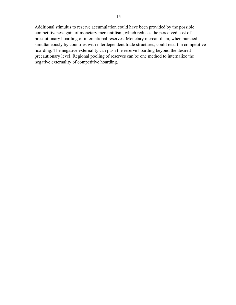Additional stimulus to reserve accumulation could have been provided by the possible competitiveness gain of monetary mercantilism, which reduces the perceived cost of precautionary hoarding of international reserves. Monetary mercantilism, when pursued simultaneously by countries with interdependent trade structures, could result in competitive hoarding. The negative externality can push the reserve hoarding beyond the desired precautionary level. Regional pooling of reserves can be one method to internalize the negative externality of competitive hoarding.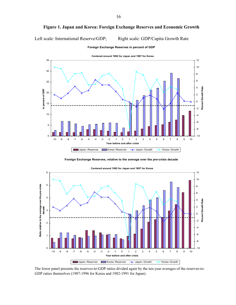#### **Figure 1. Japan and Korea: Foreign Exchange Reserves and Economic Growth**

**Foreign Exchange Reserves in percent of GDP**

Left scale: International Reserve/GDP; Right scale: GDP/Capita Growth Rate



**Foreign Exchange Reserves, relative to the average over the pre-crisis decade**



The lower panel presents the reserves-to-GDP ratios divided again by the ten-year averages of the reserves-to-GDP ratios themselves (1987-1996 for Korea and 1982-1991 for Japan).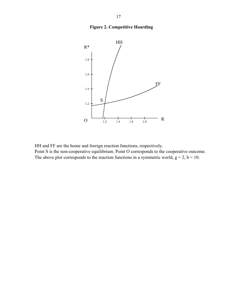



HH and FF are the home and foreign reaction functions, respectively.

Point S is the non-cooperative equilibrium. Point O corresponds to the cooperative outcome. The above plot corresponds to the reaction functions in a symmetric world,  $g = 2$ ,  $b = 10$ .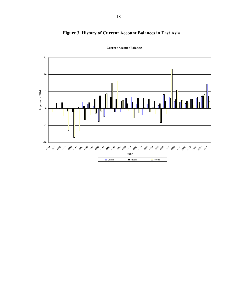

### **Figure 3. History of Current Account Balances in East Asia**

**Current Account Balances**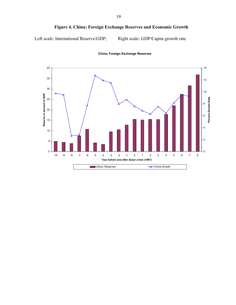#### **Figure 4. China: Foreign Exchange Reserves and Economic Growth**

Left scale: International Reserve/GDP; Right scale: GDP/Capita growth rate



**China: Foreign Exchange Reserves**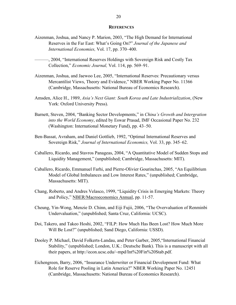#### **REFERENCES**

- Aizenman, Joshua, and Nancy P. Marion, 2003, "The High Demand for International Reserves in the Far East: What's Going On?" *Journal of the Japanese and International Economies,* Vol. 17, pp. 370–400.
	- ———, 2004, "International Reserves Holdings with Sovereign Risk and Costly Tax Collection," *Economic Journal,* Vol. 114, pp. 569–91.
- Aizenman, Joshua, and Jaewoo Lee, 2005, "International Reserves: Precautionary versus Mercantilist Views, Theory and Evidence," NBER Working Paper No. 11366 (Cambridge, Massachusetts: National Bureau of Economics Research).
- Amsden, Alice H., 1989, *Asia's Next Giant: South Korea and Late Industrialization*, (New York: Oxford University Press).
- Barnett, Steven, 2004, "Banking Sector Developments," in *China's Growth and Intergration into the World Economy*, edited by Eswar Prasad, IMF Occasional Paper No. 232 (Washington: International Monetary Fund), pp. 43–50.
- Ben-Bassat, Avraham, and Daniel Gottlieb, 1992, "Optimal International Reserves and Sovereign Risk," *Journal of International Economics,* Vol. 33, pp. 345–62.
- Caballero, Ricardo, and Stavros Panageas, 2004, "A Quantitative Model of Sudden Stops and Liquidity Management," (unpublished; Cambridge, Massachusetts: MIT).
- Caballero, Ricardo, Emmanuel Farhi, and Pierre-Olivier Gourinchas, 2005, "An Equilibrium Model of Global Imbalances and Low Interest Rates," (unpublished; Cambridge, Massachusetts: MIT).
- Chang, Roberto, and Andres Velasco, 1999, "Liquidity Crisis in Emerging Markets: Theory and Policy," NBER/Macroeconomics Annual, pp. 11-57.
- Cheung, Yin-Wong, Menzie D. Chinn, and Eiji Fujii, 2006, "The Overvaluation of Renminbi Undervaluation," (unpublished; Santa Cruz, California: UCSC).
- Doi, Takero, and Takeo Hoshi, 2002, "FILP: How Much Has Been Lost? How Much More Will Be Lost?" (unpublished; Sand Diego, California: USSD).
- Dooley P. Michael, David Folkerts-Landau, and Peter Garber, 2005,"International Financial Stability," (unpublished; London, U.K.: Deutsche Bank). This is a manuscript with all their papers, at http://econ.ucsc.edu/~mpd/Int%20Fin%20Stab.pdf.
- Eichengreen, Barry, 2006, "Insurance Underwriter or Financial Development Fund: What Role for Reserve Pooling in Latin America?" NBER Working Paper No. 12451 (Cambridge, Massachusetts: National Bureau of Economics Research).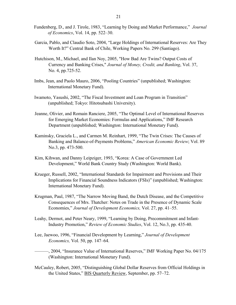- Fundenberg, D., and J. Tirole, 1983, "Learning by Doing and Market Performance," *Journal of Economics*, Vol. 14, pp. 522–30.
- Garcia, Pablo, and Claudio Soto, 2004, "Large Holdings of International Reserves: Are They Worth It?" Central Bank of Chile, Working Papers No. 299 (Santiago).
- Hutchison, M., Michael, and Ilan Noy, 2005, "How Bad Are Twins? Output Costs of Currency and Banking Crises," *Journal of Money, Credit, and Banking*, Vol. 37, No. 4, pp.725-52.
- Imbs, Jean, and Paolo Mauro, 2006, "Pooling Countries" (unpublished; Washington: International Monetary Fund).
- Iwamoto, Yasushi, 2002, "The Fiscal Investment and Loan Program in Transition" (unpublished; Tokyo: Hitotsubashi University).
- Jeanne, Olivier, and Romain Ranciere, 2005, "The Optimal Level of International Reserves for Emerging Market Economies: Formulas and Applications," IMF Research Department (unpublished; Washington: International Monetary Fund).
- Kaminsky, Graciela L., and Carmen M. Reinhart, 1999, "The Twin Crises: The Causes of Banking and Balance-of-Payments Problems," *American Economic Review*; Vol. 89 No.3, pp. 473-500.
- Kim, Kihwan, and Danny Leipziger, 1993, "Korea: A Case of Government Led Development," World Bank Country Study (Washington: World Bank).
- Krueger, Russell, 2002, "International Standards for Impairment and Provisions and Their Implications for Financial Soundness Indicators (FSIs)" (unpublished; Washington: International Monetary Fund).
- Krugman, Paul, 1987, "The Narrow Moving Band, the Dutch Disease, and the Competitive Consequences of Mrs. Thatcher: Notes on Trade in the Presence of Dynamic Scale Economies," *Journal of Development Economics,* Vol. 27, pp. 41–55.
- Leahy, Dermot, and Peter Neary, 1999, "Learning by Doing, Precommitment and Infant-Industry Promotion," *Review of Economic Studies*, Vol. 12, No.3, pp. 435-40.
- Lee, Jaewoo, 1996, "Financial Development by Learning," *Journal of Development Economics,* Vol. 50, pp. 147–64.

———, 2004, "Insurance Value of International Reserves," IMF Working Paper No. 04/175 (Washington: International Monetary Fund).

McCauley, Robert, 2005, "Distinguishing Global Dollar Reserves from Official Holdings in the United States," BIS Quarterly Review, September, pp. 57–72.